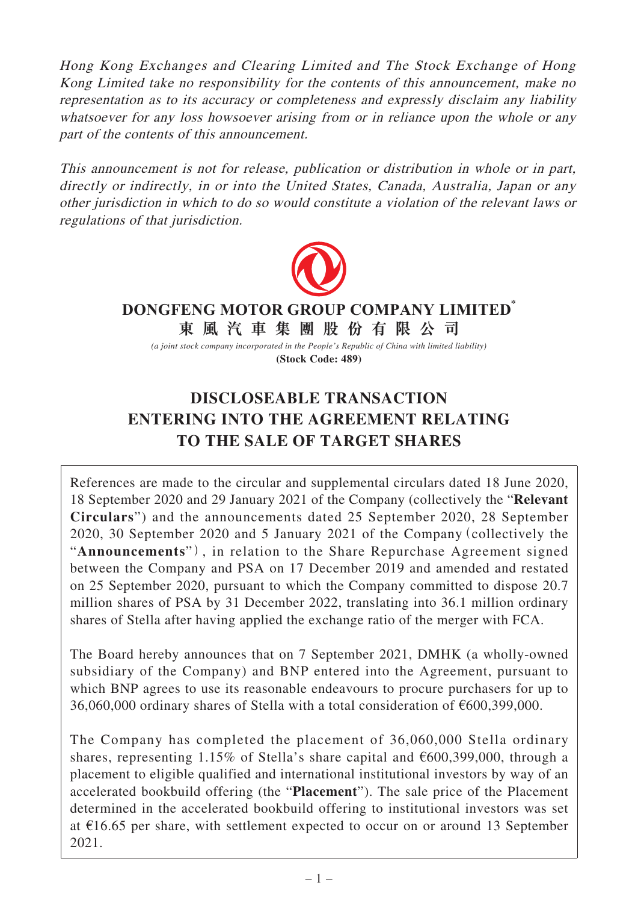Hong Kong Exchanges and Clearing Limited and The Stock Exchange of Hong Kong Limited take no responsibility for the contents of this announcement, make no representation as to its accuracy or completeness and expressly disclaim any liability whatsoever for any loss howsoever arising from or in reliance upon the whole or any part of the contents of this announcement.

This announcement is not for release, publication or distribution in whole or in part, directly or indirectly, in or into the United States, Canada, Australia, Japan or any other jurisdiction in which to do so would constitute a violation of the relevant laws or regulations of that jurisdiction.



## **東風汽車集團股份有限公司 DONGFENG MOTOR GROUP COMPANY LIMITED\***

*(a joint stock company incorporated in the People's Republic of China with limited liability)* **(Stock Code: 489)**

# **DISCLOSEABLE TRANSACTION ENTERING INTO THE AGREEMENT RELATING TO THE SALE OF TARGET SHARES**

References are made to the circular and supplemental circulars dated 18 June 2020, 18 September 2020 and 29 January 2021 of the Company (collectively the "**Relevant Circulars**") and the announcements dated 25 September 2020, 28 September 2020, 30 September 2020 and 5 January 2021 of the Company(collectively the "**Announcements**"), in relation to the Share Repurchase Agreement signed between the Company and PSA on 17 December 2019 and amended and restated on 25 September 2020, pursuant to which the Company committed to dispose 20.7 million shares of PSA by 31 December 2022, translating into 36.1 million ordinary shares of Stella after having applied the exchange ratio of the merger with FCA.

The Board hereby announces that on 7 September 2021, DMHK (a wholly-owned subsidiary of the Company) and BNP entered into the Agreement, pursuant to which BNP agrees to use its reasonable endeavours to procure purchasers for up to 36,060,000 ordinary shares of Stella with a total consideration of €600,399,000.

The Company has completed the placement of 36,060,000 Stella ordinary shares, representing 1.15% of Stella's share capital and  $\epsilon$ 600,399,000, through a placement to eligible qualified and international institutional investors by way of an accelerated bookbuild offering (the "**Placement**"). The sale price of the Placement determined in the accelerated bookbuild offering to institutional investors was set at  $£16.65$  per share, with settlement expected to occur on or around 13 September 2021.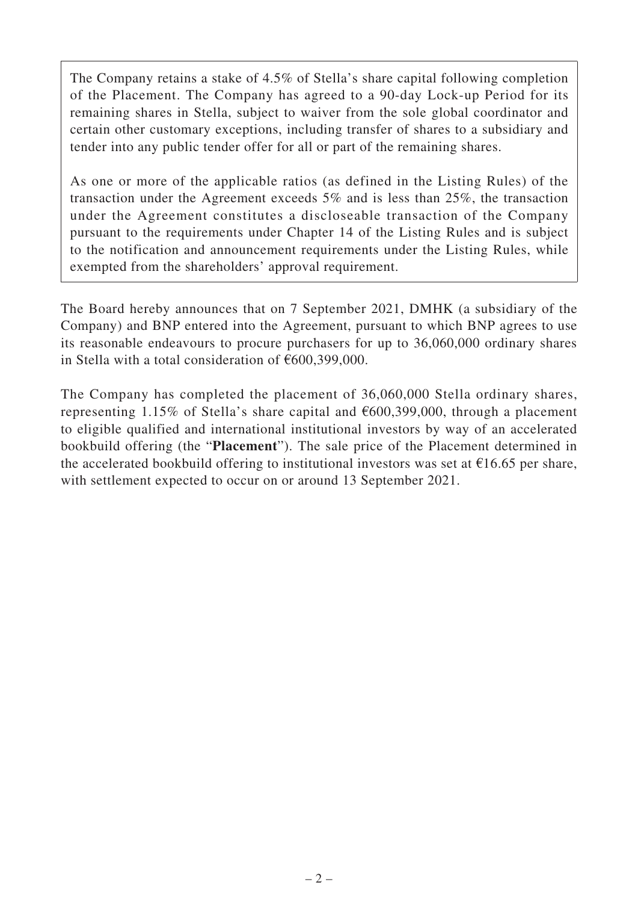The Company retains a stake of 4.5% of Stella's share capital following completion of the Placement. The Company has agreed to a 90-day Lock-up Period for its remaining shares in Stella, subject to waiver from the sole global coordinator and certain other customary exceptions, including transfer of shares to a subsidiary and tender into any public tender offer for all or part of the remaining shares.

As one or more of the applicable ratios (as defined in the Listing Rules) of the transaction under the Agreement exceeds 5% and is less than 25%, the transaction under the Agreement constitutes a discloseable transaction of the Company pursuant to the requirements under Chapter 14 of the Listing Rules and is subject to the notification and announcement requirements under the Listing Rules, while exempted from the shareholders' approval requirement.

The Board hereby announces that on 7 September 2021, DMHK (a subsidiary of the Company) and BNP entered into the Agreement, pursuant to which BNP agrees to use its reasonable endeavours to procure purchasers for up to 36,060,000 ordinary shares in Stella with a total consideration of €600,399,000.

The Company has completed the placement of 36,060,000 Stella ordinary shares, representing 1.15% of Stella's share capital and  $\epsilon$ 600,399,000, through a placement to eligible qualified and international institutional investors by way of an accelerated bookbuild offering (the "**Placement**"). The sale price of the Placement determined in the accelerated bookbuild offering to institutional investors was set at  $\epsilon$ 16.65 per share, with settlement expected to occur on or around 13 September 2021.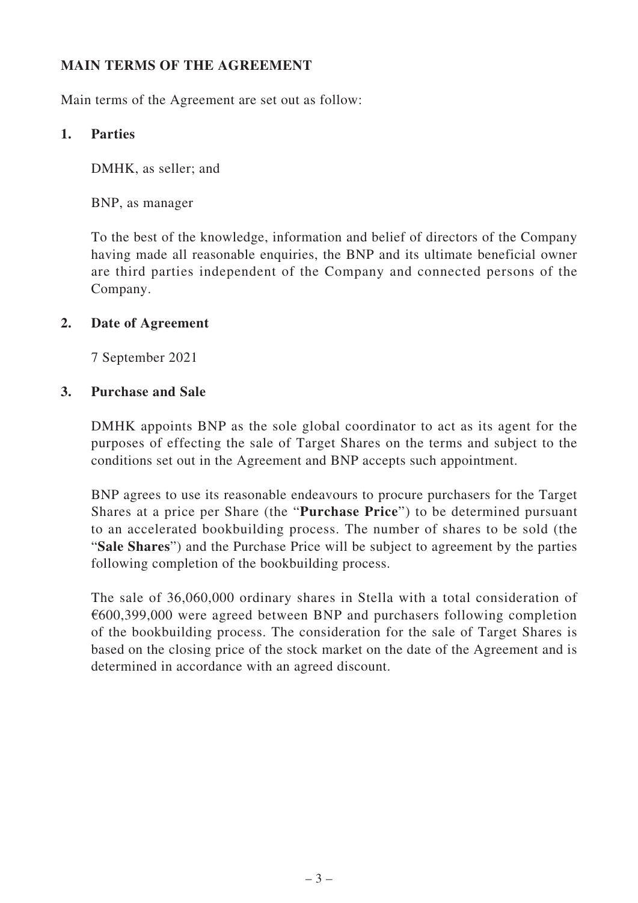## **MAIN TERMS OF THE AGREEMENT**

Main terms of the Agreement are set out as follow:

#### **1. Parties**

DMHK, as seller; and

BNP, as manager

To the best of the knowledge, information and belief of directors of the Company having made all reasonable enquiries, the BNP and its ultimate beneficial owner are third parties independent of the Company and connected persons of the Company.

### **2. Date of Agreement**

7 September 2021

#### **3. Purchase and Sale**

DMHK appoints BNP as the sole global coordinator to act as its agent for the purposes of effecting the sale of Target Shares on the terms and subject to the conditions set out in the Agreement and BNP accepts such appointment.

BNP agrees to use its reasonable endeavours to procure purchasers for the Target Shares at a price per Share (the "**Purchase Price**") to be determined pursuant to an accelerated bookbuilding process. The number of shares to be sold (the "**Sale Shares**") and the Purchase Price will be subject to agreement by the parties following completion of the bookbuilding process.

The sale of 36,060,000 ordinary shares in Stella with a total consideration of €600,399,000 were agreed between BNP and purchasers following completion of the bookbuilding process. The consideration for the sale of Target Shares is based on the closing price of the stock market on the date of the Agreement and is determined in accordance with an agreed discount.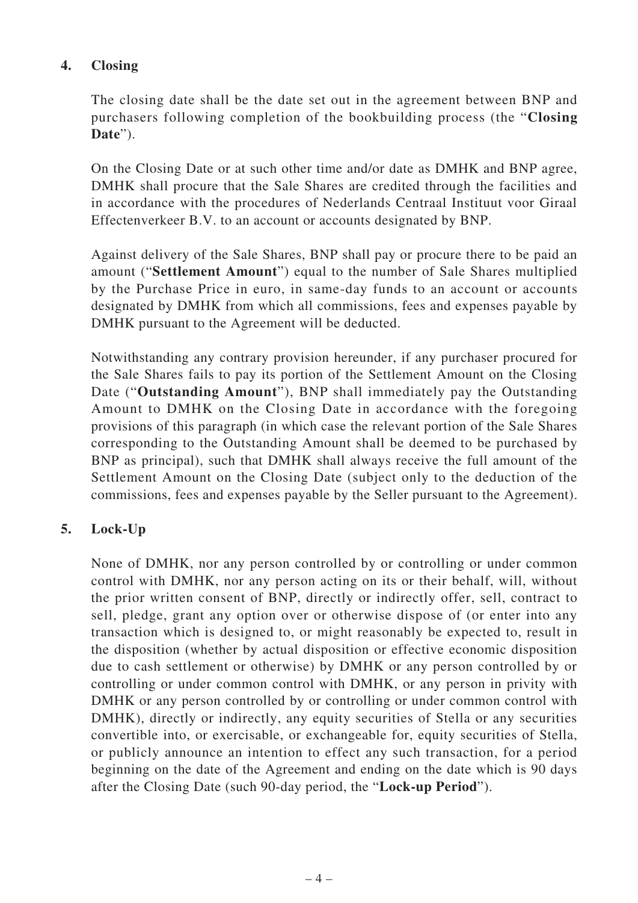# **4. Closing**

The closing date shall be the date set out in the agreement between BNP and purchasers following completion of the bookbuilding process (the "**Closing Date**").

On the Closing Date or at such other time and/or date as DMHK and BNP agree, DMHK shall procure that the Sale Shares are credited through the facilities and in accordance with the procedures of Nederlands Centraal Instituut voor Giraal Effectenverkeer B.V. to an account or accounts designated by BNP.

Against delivery of the Sale Shares, BNP shall pay or procure there to be paid an amount ("**Settlement Amount**") equal to the number of Sale Shares multiplied by the Purchase Price in euro, in same-day funds to an account or accounts designated by DMHK from which all commissions, fees and expenses payable by DMHK pursuant to the Agreement will be deducted.

Notwithstanding any contrary provision hereunder, if any purchaser procured for the Sale Shares fails to pay its portion of the Settlement Amount on the Closing Date ("**Outstanding Amount**"), BNP shall immediately pay the Outstanding Amount to DMHK on the Closing Date in accordance with the foregoing provisions of this paragraph (in which case the relevant portion of the Sale Shares corresponding to the Outstanding Amount shall be deemed to be purchased by BNP as principal), such that DMHK shall always receive the full amount of the Settlement Amount on the Closing Date (subject only to the deduction of the commissions, fees and expenses payable by the Seller pursuant to the Agreement).

# **5. Lock-Up**

None of DMHK, nor any person controlled by or controlling or under common control with DMHK, nor any person acting on its or their behalf, will, without the prior written consent of BNP, directly or indirectly offer, sell, contract to sell, pledge, grant any option over or otherwise dispose of (or enter into any transaction which is designed to, or might reasonably be expected to, result in the disposition (whether by actual disposition or effective economic disposition due to cash settlement or otherwise) by DMHK or any person controlled by or controlling or under common control with DMHK, or any person in privity with DMHK or any person controlled by or controlling or under common control with DMHK), directly or indirectly, any equity securities of Stella or any securities convertible into, or exercisable, or exchangeable for, equity securities of Stella, or publicly announce an intention to effect any such transaction, for a period beginning on the date of the Agreement and ending on the date which is 90 days after the Closing Date (such 90-day period, the "**Lock-up Period**").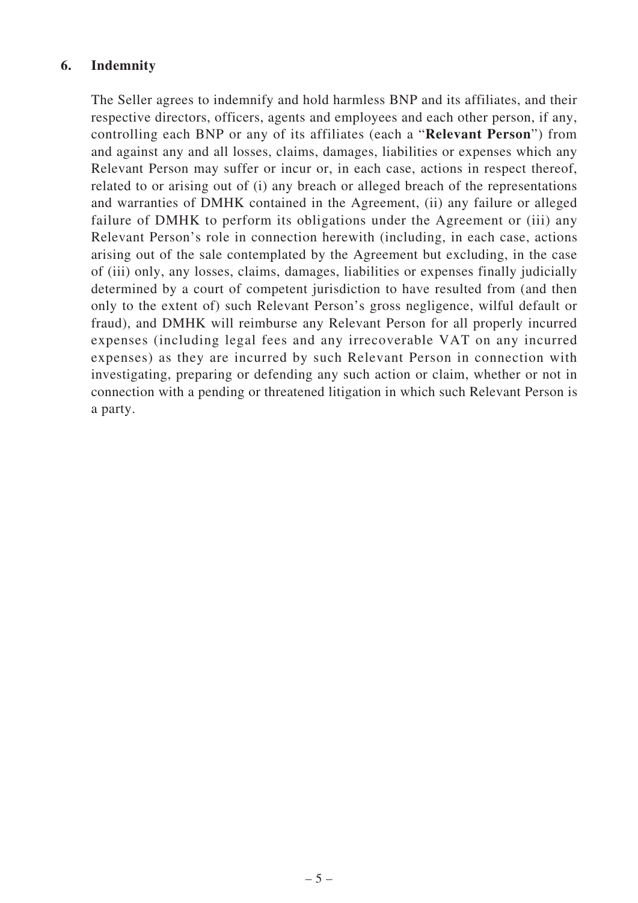#### **6. Indemnity**

The Seller agrees to indemnify and hold harmless BNP and its affiliates, and their respective directors, officers, agents and employees and each other person, if any, controlling each BNP or any of its affiliates (each a "**Relevant Person**") from and against any and all losses, claims, damages, liabilities or expenses which any Relevant Person may suffer or incur or, in each case, actions in respect thereof, related to or arising out of (i) any breach or alleged breach of the representations and warranties of DMHK contained in the Agreement, (ii) any failure or alleged failure of DMHK to perform its obligations under the Agreement or (iii) any Relevant Person's role in connection herewith (including, in each case, actions arising out of the sale contemplated by the Agreement but excluding, in the case of (iii) only, any losses, claims, damages, liabilities or expenses finally judicially determined by a court of competent jurisdiction to have resulted from (and then only to the extent of) such Relevant Person's gross negligence, wilful default or fraud), and DMHK will reimburse any Relevant Person for all properly incurred expenses (including legal fees and any irrecoverable VAT on any incurred expenses) as they are incurred by such Relevant Person in connection with investigating, preparing or defending any such action or claim, whether or not in connection with a pending or threatened litigation in which such Relevant Person is a party.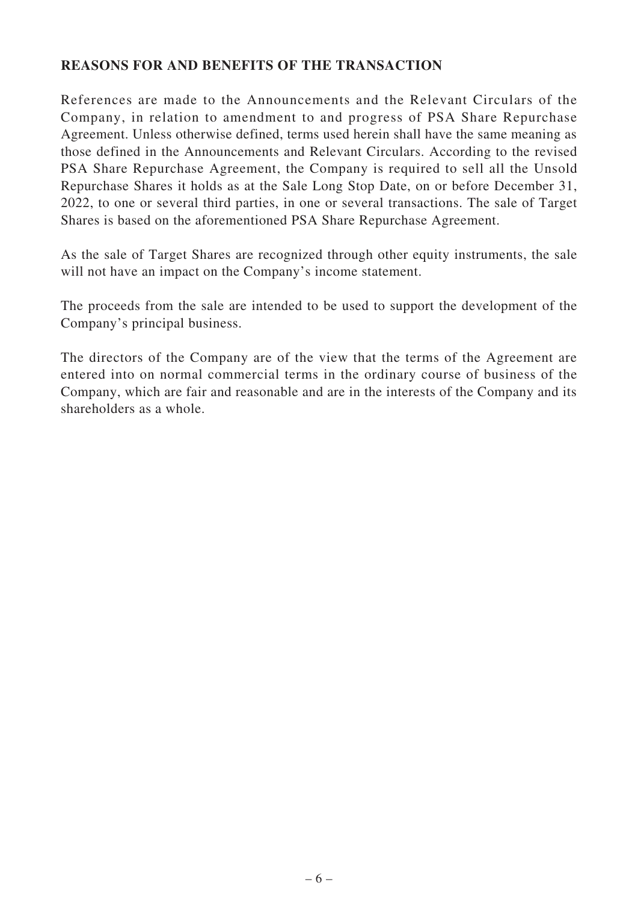### **REASONS FOR AND BENEFITS OF THE TRANSACTION**

References are made to the Announcements and the Relevant Circulars of the Company, in relation to amendment to and progress of PSA Share Repurchase Agreement. Unless otherwise defined, terms used herein shall have the same meaning as those defined in the Announcements and Relevant Circulars. According to the revised PSA Share Repurchase Agreement, the Company is required to sell all the Unsold Repurchase Shares it holds as at the Sale Long Stop Date, on or before December 31, 2022, to one or several third parties, in one or several transactions. The sale of Target Shares is based on the aforementioned PSA Share Repurchase Agreement.

As the sale of Target Shares are recognized through other equity instruments, the sale will not have an impact on the Company's income statement.

The proceeds from the sale are intended to be used to support the development of the Company's principal business.

The directors of the Company are of the view that the terms of the Agreement are entered into on normal commercial terms in the ordinary course of business of the Company, which are fair and reasonable and are in the interests of the Company and its shareholders as a whole.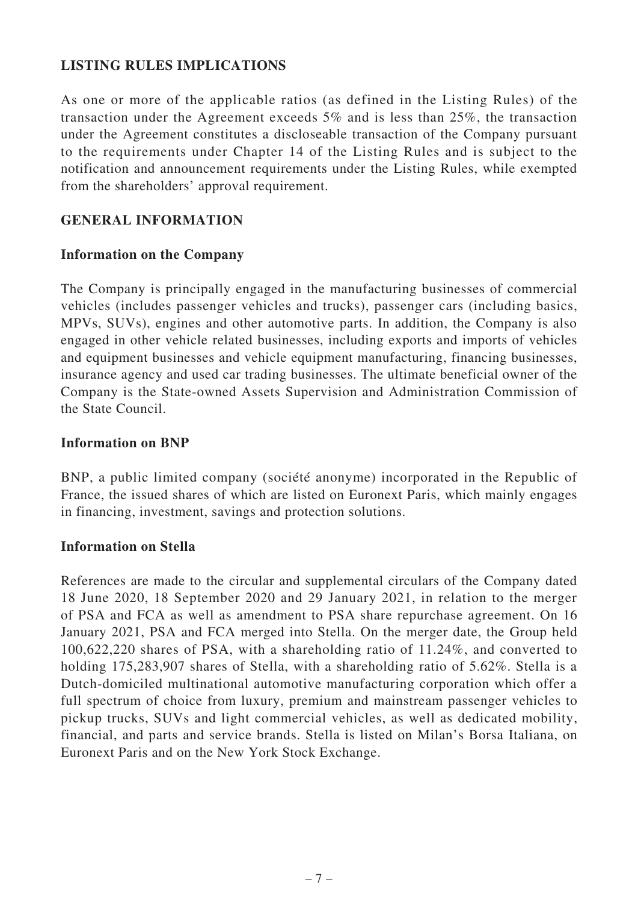### **LISTING RULES IMPLICATIONS**

As one or more of the applicable ratios (as defined in the Listing Rules) of the transaction under the Agreement exceeds 5% and is less than 25%, the transaction under the Agreement constitutes a discloseable transaction of the Company pursuant to the requirements under Chapter 14 of the Listing Rules and is subject to the notification and announcement requirements under the Listing Rules, while exempted from the shareholders' approval requirement.

#### **GENERAL INFORMATION**

#### **Information on the Company**

The Company is principally engaged in the manufacturing businesses of commercial vehicles (includes passenger vehicles and trucks), passenger cars (including basics, MPVs, SUVs), engines and other automotive parts. In addition, the Company is also engaged in other vehicle related businesses, including exports and imports of vehicles and equipment businesses and vehicle equipment manufacturing, financing businesses, insurance agency and used car trading businesses. The ultimate beneficial owner of the Company is the State-owned Assets Supervision and Administration Commission of the State Council.

#### **Information on BNP**

BNP, a public limited company (société anonyme) incorporated in the Republic of France, the issued shares of which are listed on Euronext Paris, which mainly engages in financing, investment, savings and protection solutions.

#### **Information on Stella**

References are made to the circular and supplemental circulars of the Company dated 18 June 2020, 18 September 2020 and 29 January 2021, in relation to the merger of PSA and FCA as well as amendment to PSA share repurchase agreement. On 16 January 2021, PSA and FCA merged into Stella. On the merger date, the Group held 100,622,220 shares of PSA, with a shareholding ratio of 11.24%, and converted to holding 175,283,907 shares of Stella, with a shareholding ratio of 5.62%. Stella is a Dutch-domiciled multinational automotive manufacturing corporation which offer a full spectrum of choice from luxury, premium and mainstream passenger vehicles to pickup trucks, SUVs and light commercial vehicles, as well as dedicated mobility, financial, and parts and service brands. Stella is listed on Milan's Borsa Italiana, on Euronext Paris and on the New York Stock Exchange.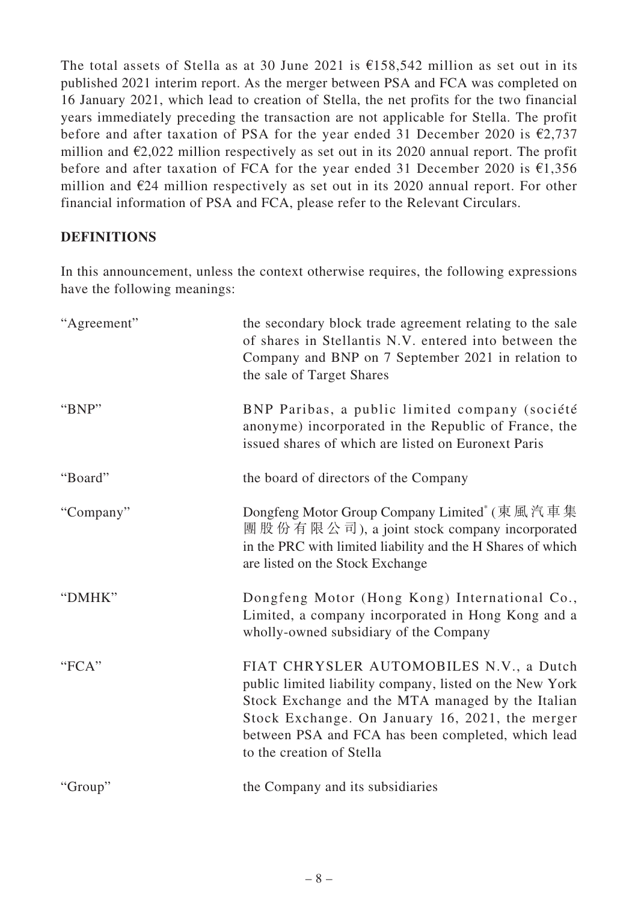The total assets of Stella as at 30 June 2021 is  $\epsilon$ 158,542 million as set out in its published 2021 interim report. As the merger between PSA and FCA was completed on 16 January 2021, which lead to creation of Stella, the net profits for the two financial years immediately preceding the transaction are not applicable for Stella. The profit before and after taxation of PSA for the year ended 31 December 2020 is  $\epsilon$ 2,737 million and  $\epsilon$ 2,022 million respectively as set out in its 2020 annual report. The profit before and after taxation of FCA for the year ended 31 December 2020 is €1,356 million and  $E24$  million respectively as set out in its 2020 annual report. For other financial information of PSA and FCA, please refer to the Relevant Circulars.

### **DEFINITIONS**

In this announcement, unless the context otherwise requires, the following expressions have the following meanings:

| "Agreement" | the secondary block trade agreement relating to the sale<br>of shares in Stellantis N.V. entered into between the<br>Company and BNP on 7 September 2021 in relation to<br>the sale of Target Shares                                                                                           |
|-------------|------------------------------------------------------------------------------------------------------------------------------------------------------------------------------------------------------------------------------------------------------------------------------------------------|
| "BNP"       | BNP Paribas, a public limited company (société<br>anonyme) incorporated in the Republic of France, the<br>issued shares of which are listed on Euronext Paris                                                                                                                                  |
| "Board"     | the board of directors of the Company                                                                                                                                                                                                                                                          |
| "Company"   | Dongfeng Motor Group Company Limited <sup>*</sup> (東風汽車集<br>團 股 份 有 限 公 司), a joint stock company incorporated<br>in the PRC with limited liability and the H Shares of which<br>are listed on the Stock Exchange                                                                              |
| "DMHK"      | Dongfeng Motor (Hong Kong) International Co.,<br>Limited, a company incorporated in Hong Kong and a<br>wholly-owned subsidiary of the Company                                                                                                                                                  |
| "FCA"       | FIAT CHRYSLER AUTOMOBILES N.V., a Dutch<br>public limited liability company, listed on the New York<br>Stock Exchange and the MTA managed by the Italian<br>Stock Exchange. On January 16, 2021, the merger<br>between PSA and FCA has been completed, which lead<br>to the creation of Stella |
| "Group"     | the Company and its subsidiaries                                                                                                                                                                                                                                                               |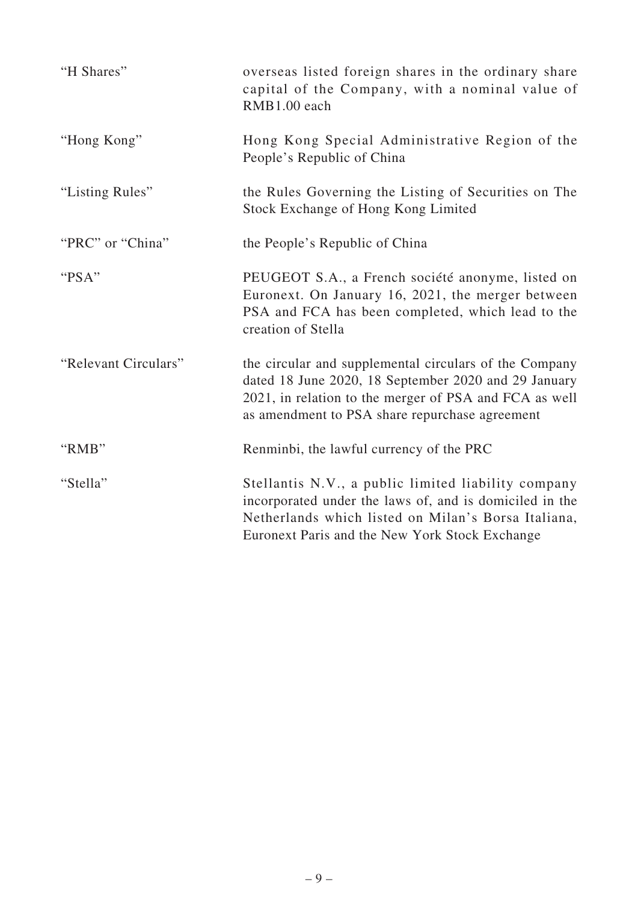| "H Shares"           | overseas listed foreign shares in the ordinary share<br>capital of the Company, with a nominal value of<br>RMB1.00 each                                                                                                    |
|----------------------|----------------------------------------------------------------------------------------------------------------------------------------------------------------------------------------------------------------------------|
| "Hong Kong"          | Hong Kong Special Administrative Region of the<br>People's Republic of China                                                                                                                                               |
| "Listing Rules"      | the Rules Governing the Listing of Securities on The<br>Stock Exchange of Hong Kong Limited                                                                                                                                |
| "PRC" or "China"     | the People's Republic of China                                                                                                                                                                                             |
| "PSA"                | PEUGEOT S.A., a French société anonyme, listed on<br>Euronext. On January 16, 2021, the merger between<br>PSA and FCA has been completed, which lead to the<br>creation of Stella                                          |
| "Relevant Circulars" | the circular and supplemental circulars of the Company<br>dated 18 June 2020, 18 September 2020 and 29 January<br>2021, in relation to the merger of PSA and FCA as well<br>as amendment to PSA share repurchase agreement |
| "RMB"                | Renminbi, the lawful currency of the PRC                                                                                                                                                                                   |
| "Stella"             | Stellantis N.V., a public limited liability company<br>incorporated under the laws of, and is domiciled in the<br>Netherlands which listed on Milan's Borsa Italiana,<br>Euronext Paris and the New York Stock Exchange    |